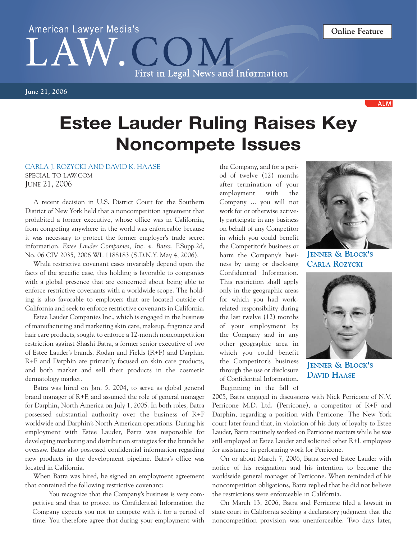## American Lawyer Media's First in Legal News and Information

**June 21, 2006**

**ALM** 

## **Estee Lauder Ruling Raises Key Noncompete Issues**

CARLA J. ROZYCKI AND DAVID K. HAASE

SPECIAL TO LAW.COM JUNE 21, 2006

A recent decision in U.S. District Court for the Southern District of New York held that a noncompetition agreement that prohibited a former executive, whose office was in California, from competing anywhere in the world was enforceable because it was necessary to protect the former employer's trade secret information. *Estee Lauder Companies, Inc. v. Batra,* F.Supp.2d, No. 06 CIV 2035, 2006 WL 1188183 (S.D.N.Y. May 4, 2006).

While restrictive covenant cases invariably depend upon the facts of the specific case, this holding is favorable to companies with a global presence that are concerned about being able to enforce restrictive covenants with a worldwide scope. The holding is also favorable to employers that are located outside of California and seek to enforce restrictive covenants in California.

Estee Lauder Companies Inc., which is engaged in the business of manufacturing and marketing skin care, makeup, fragrance and hair care products, sought to enforce a 12-month noncompetition restriction against Shashi Batra, a former senior executive of two of Estee Lauder's brands, Rodan and Fields (R+F) and Darphin. R+F and Darphin are primarily focused on skin care products, and both market and sell their products in the cosmetic dermatology market.

Batra was hired on Jan. 5, 2004, to serve as global general brand manager of R+F, and assumed the role of general manager for Darphin, North America on July 1, 2005. In both roles, Batra possessed substantial authority over the business of R+F worldwide and Darphin's North American operations. During his employment with Estee Lauder, Batra was responsible for developing marketing and distribution strategies for the brands he oversaw. Batra also possessed confidential information regarding new products in the development pipeline. Batra's office was located in California.

When Batra was hired, he signed an employment agreement that contained the following restrictive covenant:

You recognize that the Company's business is very competitive and that to protect its Confidential Information the Company expects you not to compete with it for a period of time. You therefore agree that during your employment with

the Company, and for a period of twelve (12) months after termination of your employment with the Company ... you will not work for or otherwise actively participate in any business on behalf of any Competitor in which you could benefit the Competitor's business or harm the Company's business by using or disclosing Confidential Information. This restriction shall apply only in the geographic areas for which you had workrelated responsibility during the last twelve (12) months of your employment by the Company and in any other geographic area in which you could benefit the Competitor's business through the use or disclosure of Confidential Information. Beginning in the fall of



**JENNER & BLOCK'S CARLA ROZYCKI**



**JENNER & BLOCK'S DAVID HAASE**

2005, Batra engaged in discussions with Nick Perricone of N.V. Perricone M.D. Ltd. (Perricone), a competitor of R+F and Darphin, regarding a position with Perricone. The New York court later found that, in violation of his duty of loyalty to Estee Lauder, Batra routinely worked on Perricone matters while he was still employed at Estee Lauder and solicited other R+L employees for assistance in performing work for Perricone.

On or about March 7, 2006, Batra served Estee Lauder with notice of his resignation and his intention to become the worldwide general manager of Perricone. When reminded of his noncompetition obligations, Batra replied that he did not believe the restrictions were enforceable in California.

On March 13, 2006, Batra and Perricone filed a lawsuit in state court in California seeking a declaratory judgment that the noncompetition provision was unenforceable. Two days later,